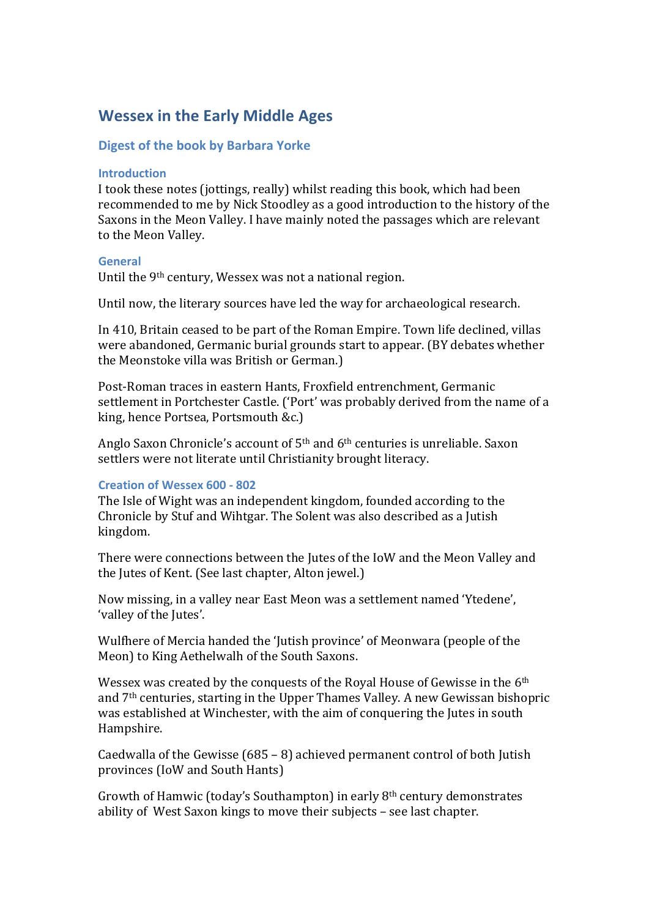# **Wessex in the Early Middle Ages**

# **Digest of the book by Barbara Yorke**

### **Introduction**

I took these notes (jottings, really) whilst reading this book, which had been recommended to me by Nick Stoodley as a good introduction to the history of the Saxons in the Meon Valley. I have mainly noted the passages which are relevant to the Meon Valley.

#### **General**

Until the  $9<sup>th</sup>$  century, Wessex was not a national region.

Until now, the literary sources have led the way for archaeological research.

In 410, Britain ceased to be part of the Roman Empire. Town life declined, villas were abandoned, Germanic burial grounds start to appear. (BY debates whether the Meonstoke villa was British or German.)

Post-Roman traces in eastern Hants, Froxfield entrenchment, Germanic settlement in Portchester Castle. ('Port' was probably derived from the name of a king, hence Portsea, Portsmouth &c.)

Anglo Saxon Chronicle's account of  $5<sup>th</sup>$  and  $6<sup>th</sup>$  centuries is unreliable. Saxon settlers were not literate until Christianity brought literacy.

## **Creation of Wessex 600 - 802**

The Isle of Wight was an independent kingdom, founded according to the Chronicle by Stuf and Wihtgar. The Solent was also described as a Jutish kingdom. 

There were connections between the Jutes of the IoW and the Meon Valley and the Jutes of Kent. (See last chapter, Alton jewel.)

Now missing, in a valley near East Meon was a settlement named 'Ytedene', 'valley of the Jutes'.

Wulfhere of Mercia handed the 'Jutish province' of Meonwara (people of the Meon) to King Aethelwalh of the South Saxons.

Wessex was created by the conquests of the Royal House of Gewisse in the 6<sup>th</sup> and 7<sup>th</sup> centuries, starting in the Upper Thames Valley. A new Gewissan bishopric was established at Winchester, with the aim of conquering the Jutes in south Hampshire.

Caedwalla of the Gewisse  $(685 - 8)$  achieved permanent control of both Jutish provinces (IoW and South Hants)

Growth of Hamwic (today's Southampton) in early  $8<sup>th</sup>$  century demonstrates ability of West Saxon kings to move their subjects - see last chapter.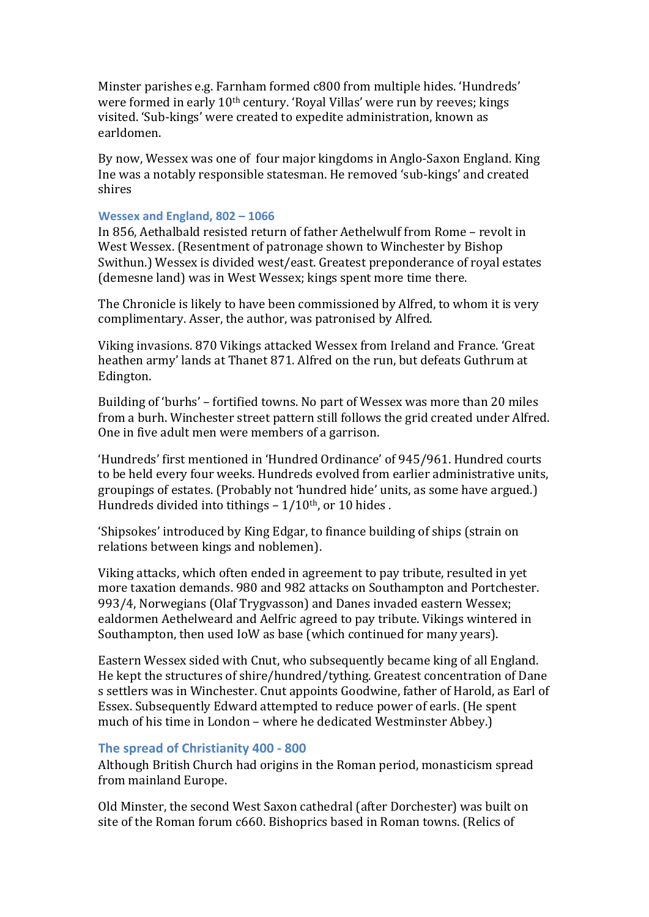Minster parishes e.g. Farnham formed c800 from multiple hides. 'Hundreds' were formed in early  $10<sup>th</sup>$  century. 'Royal Villas' were run by reeves; kings visited. 'Sub-kings' were created to expedite administration, known as earldomen.

By now, Wessex was one of four major kingdoms in Anglo-Saxon England. King Ine was a notably responsible statesman. He removed 'sub-kings' and created shires

#### Wessex and England, 802 - 1066

In 856, Aethalbald resisted return of father Aethelwulf from Rome - revolt in West Wessex. (Resentment of patronage shown to Winchester by Bishop Swithun.) Wessex is divided west/east. Greatest preponderance of royal estates (demesne land) was in West Wessex; kings spent more time there.

The Chronicle is likely to have been commissioned by Alfred, to whom it is very complimentary. Asser, the author, was patronised by Alfred.

Viking invasions, 870 Vikings attacked Wessex from Ireland and France. 'Great heathen army' lands at Thanet 871. Alfred on the run, but defeats Guthrum at Edington.

Building of 'burhs' – fortified towns. No part of Wessex was more than 20 miles from a burh. Winchester street pattern still follows the grid created under Alfred. One in five adult men were members of a garrison.

'Hundreds' first mentioned in 'Hundred Ordinance' of 945/961. Hundred courts to be held every four weeks. Hundreds evolved from earlier administrative units, groupings of estates. (Probably not 'hundred hide' units, as some have argued.) Hundreds divided into tithings  $-1/10$ <sup>th</sup>, or 10 hides.

'Shipsokes' introduced by King Edgar, to finance building of ships (strain on relations between kings and noblemen).

Viking attacks, which often ended in agreement to pay tribute, resulted in yet more taxation demands. 980 and 982 attacks on Southampton and Portchester. 993/4, Norwegians (Olaf Trygvasson) and Danes invaded eastern Wessex; ealdormen Aethelweard and Aelfric agreed to pay tribute. Vikings wintered in Southampton, then used IoW as base (which continued for many years).

Eastern Wessex sided with Cnut, who subsequently became king of all England. He kept the structures of shire/hundred/tything. Greatest concentration of Dane s settlers was in Winchester. Cnut appoints Goodwine, father of Harold, as Earl of Essex. Subsequently Edward attempted to reduce power of earls. (He spent much of his time in London – where he dedicated Westminster Abbey.)

#### **The spread of Christianity 400 - 800**

Although British Church had origins in the Roman period, monasticism spread from mainland Europe.

Old Minster, the second West Saxon cathedral (after Dorchester) was built on site of the Roman forum c660. Bishoprics based in Roman towns. (Relics of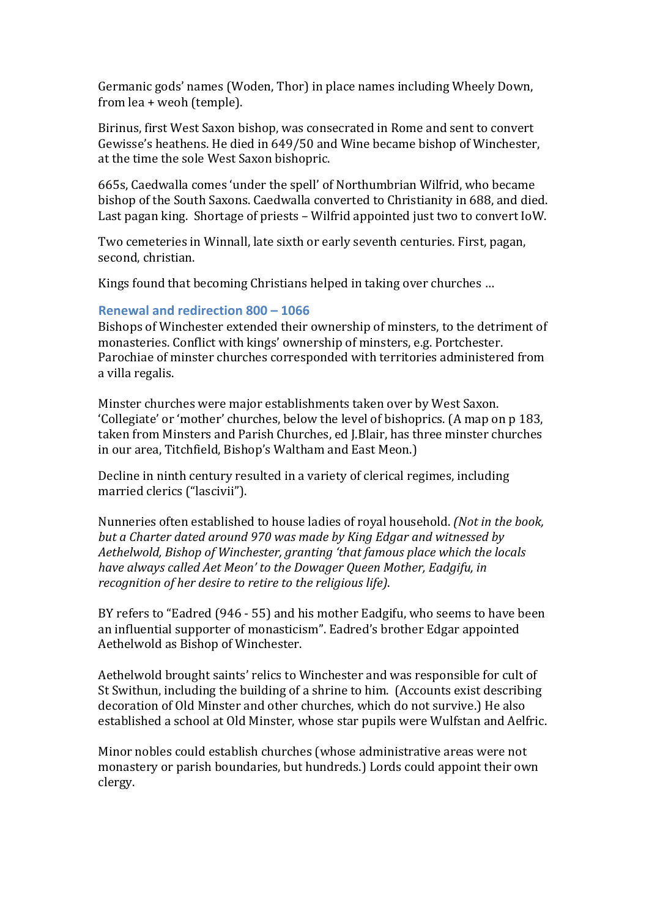Germanic gods' names (Woden, Thor) in place names including Wheely Down, from lea + weoh (temple).

Birinus, first West Saxon bishop, was consecrated in Rome and sent to convert Gewisse's heathens. He died in 649/50 and Wine became bishop of Winchester, at the time the sole West Saxon bishopric.

665s, Caedwalla comes 'under the spell' of Northumbrian Wilfrid, who became bishop of the South Saxons. Caedwalla converted to Christianity in 688, and died. Last pagan king. Shortage of priests – Wilfrid appointed just two to convert IoW.

Two cemeteries in Winnall, late sixth or early seventh centuries. First, pagan, second, christian.

Kings found that becoming Christians helped in taking over churches ...

## **Renewal and redirection 800 - 1066**

Bishops of Winchester extended their ownership of minsters, to the detriment of monasteries. Conflict with kings' ownership of minsters, e.g. Portchester. Parochiae of minster churches corresponded with territories administered from a villa regalis.

Minster churches were major establishments taken over by West Saxon. 'Collegiate' or 'mother' churches, below the level of bishoprics. (A map on p 183, taken from Minsters and Parish Churches, ed J.Blair, has three minster churches in our area, Titchfield, Bishop's Waltham and East Meon.)

Decline in ninth century resulted in a variety of clerical regimes, including married clerics ("lascivii").

Nunneries often established to house ladies of royal household. *(Not in the book, but a Charter dated around 970 was made by King Edgar and witnessed by Aethelwold, Bishop of Winchester, granting 'that famous place which the locals* have always called Aet Meon' to the Dowager Oueen Mother, Eadgifu, in *recognition of her desire to retire to the religious life).* 

BY refers to "Eadred (946 - 55) and his mother Eadgifu, who seems to have been an influential supporter of monasticism". Eadred's brother Edgar appointed Aethelwold as Bishop of Winchester.

Aethelwold brought saints' relics to Winchester and was responsible for cult of St Swithun, including the building of a shrine to him. (Accounts exist describing decoration of Old Minster and other churches, which do not survive.) He also established a school at Old Minster, whose star pupils were Wulfstan and Aelfric.

Minor nobles could establish churches (whose administrative areas were not monastery or parish boundaries, but hundreds.) Lords could appoint their own clergy.